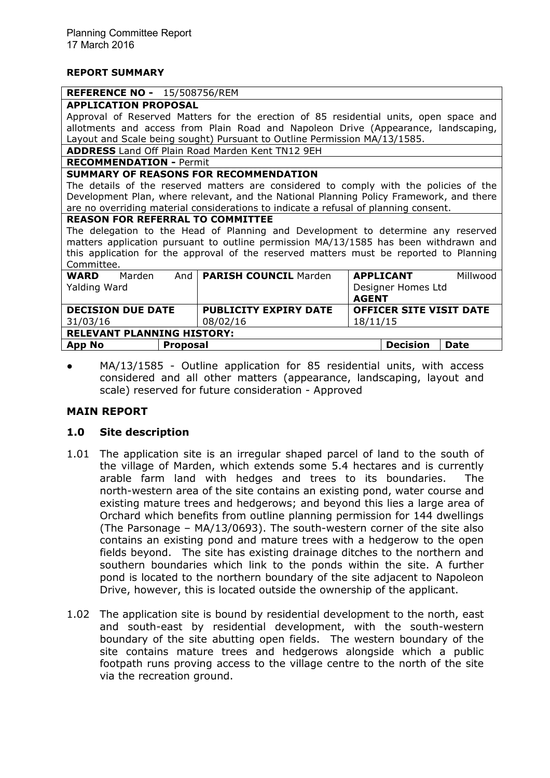#### **REPORT SUMMARY**

#### **REFERENCE NO -** 15/508756/REM

## **APPLICATION PROPOSAL**

Approval of Reserved Matters for the erection of 85 residential units, open space and allotments and access from Plain Road and Napoleon Drive (Appearance, landscaping, Layout and Scale being sought) Pursuant to Outline Permission MA/13/1585.

**ADDRESS** Land Off Plain Road Marden Kent TN12 9EH

### **RECOMMENDATION -** Permit

### **SUMMARY OF REASONS FOR RECOMMENDATION**

The details of the reserved matters are considered to comply with the policies of the Development Plan, where relevant, and the National Planning Policy Framework, and there are no overriding material considerations to indicate a refusal of planning consent.

#### **REASON FOR REFERRAL TO COMMITTEE**

The delegation to the Head of Planning and Development to determine any reserved matters application pursuant to outline permission MA/13/1585 has been withdrawn and this application for the approval of the reserved matters must be reported to Planning Committee.

| <b>WARD</b><br>Marden<br>Yalding Ward | And             | <b>PARISH COUNCIL Marden</b>             | <b>AGENT</b>                               | <b>APPLICANT</b><br>Designer Homes Ltd | Millwood    |  |
|---------------------------------------|-----------------|------------------------------------------|--------------------------------------------|----------------------------------------|-------------|--|
| <b>DECISION DUE DATE</b><br>31/03/16  |                 | <b>PUBLICITY EXPIRY DATE</b><br>08/02/16 | <b>OFFICER SITE VISIT DATE</b><br>18/11/15 |                                        |             |  |
| <b>RELEVANT PLANNING HISTORY:</b>     |                 |                                          |                                            |                                        |             |  |
| <b>App No</b>                         | <b>Proposal</b> |                                          |                                            | <b>Decision</b>                        | <b>Date</b> |  |

MA/13/1585 - Outline application for 85 residential units, with access considered and all other matters (appearance, landscaping, layout and scale) reserved for future consideration - Approved

# **MAIN REPORT**

# **1.0 Site description**

- 1.01 The application site is an irregular shaped parcel of land to the south of the village of Marden, which extends some 5.4 hectares and is currently arable farm land with hedges and trees to its boundaries. The north-western area of the site contains an existing pond, water course and existing mature trees and hedgerows; and beyond this lies a large area of Orchard which benefits from outline planning permission for 144 dwellings (The Parsonage – MA/13/0693). The south-western corner of the site also contains an existing pond and mature trees with a hedgerow to the open fields beyond. The site has existing drainage ditches to the northern and southern boundaries which link to the ponds within the site. A further pond is located to the northern boundary of the site adjacent to Napoleon Drive, however, this is located outside the ownership of the applicant.
- 1.02 The application site is bound by residential development to the north, east and south-east by residential development, with the south-western boundary of the site abutting open fields. The western boundary of the site contains mature trees and hedgerows alongside which a public footpath runs proving access to the village centre to the north of the site via the recreation ground.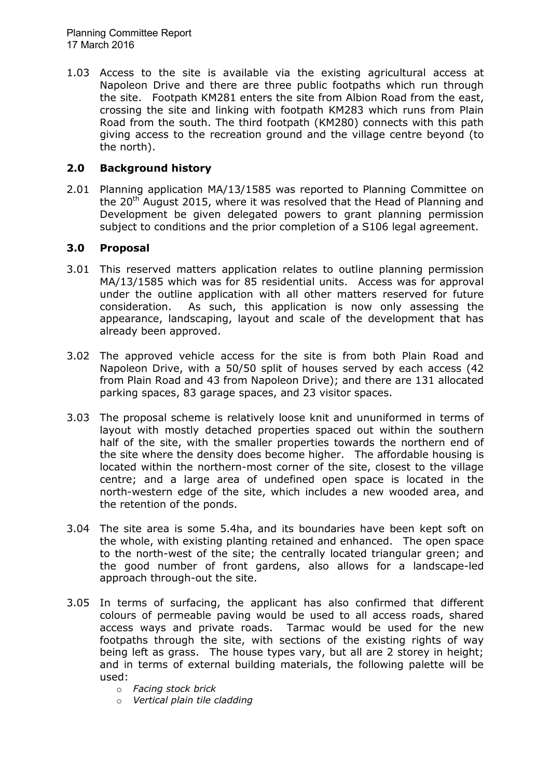1.03 Access to the site is available via the existing agricultural access at Napoleon Drive and there are three public footpaths which run through the site. Footpath KM281 enters the site from Albion Road from the east, crossing the site and linking with footpath KM283 which runs from Plain Road from the south. The third footpath (KM280) connects with this path giving access to the recreation ground and the village centre beyond (to the north).

# **2.0 Background history**

2.01 Planning application MA/13/1585 was reported to Planning Committee on the 20<sup>th</sup> August 2015, where it was resolved that the Head of Planning and Development be given delegated powers to grant planning permission subject to conditions and the prior completion of a S106 legal agreement.

# **3.0 Proposal**

- 3.01 This reserved matters application relates to outline planning permission MA/13/1585 which was for 85 residential units. Access was for approval under the outline application with all other matters reserved for future consideration. As such, this application is now only assessing the appearance, landscaping, layout and scale of the development that has already been approved.
- 3.02 The approved vehicle access for the site is from both Plain Road and Napoleon Drive, with a 50/50 split of houses served by each access (42 from Plain Road and 43 from Napoleon Drive); and there are 131 allocated parking spaces, 83 garage spaces, and 23 visitor spaces.
- 3.03 The proposal scheme is relatively loose knit and ununiformed in terms of layout with mostly detached properties spaced out within the southern half of the site, with the smaller properties towards the northern end of the site where the density does become higher. The affordable housing is located within the northern-most corner of the site, closest to the village centre; and a large area of undefined open space is located in the north-western edge of the site, which includes a new wooded area, and the retention of the ponds.
- 3.04 The site area is some 5.4ha, and its boundaries have been kept soft on the whole, with existing planting retained and enhanced. The open space to the north-west of the site; the centrally located triangular green; and the good number of front gardens, also allows for a landscape-led approach through-out the site.
- 3.05 In terms of surfacing, the applicant has also confirmed that different colours of permeable paving would be used to all access roads, shared access ways and private roads. Tarmac would be used for the new footpaths through the site, with sections of the existing rights of way being left as grass. The house types vary, but all are 2 storey in height; and in terms of external building materials, the following palette will be used:
	- o *Facing stock brick*
	- o *Vertical plain tile cladding*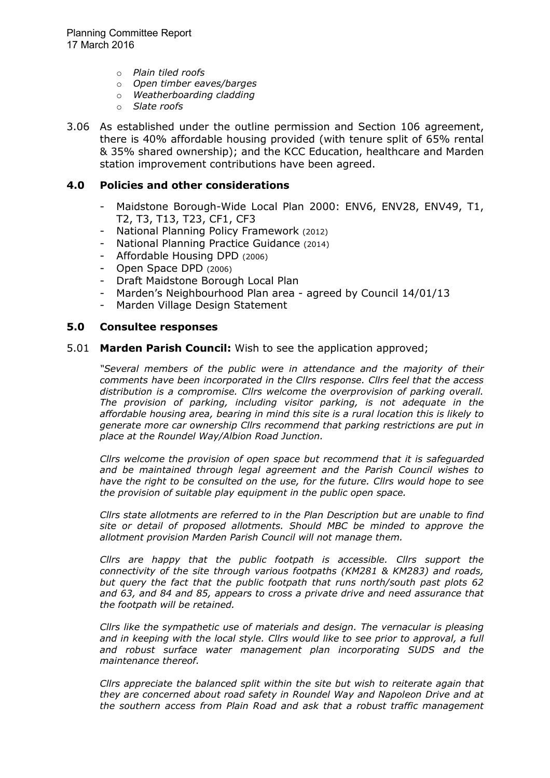- o *Plain tiled roofs*
- o *Open timber eaves/barges*
- o *Weatherboarding cladding*
- o *Slate roofs*
- 3.06 As established under the outline permission and Section 106 agreement, there is 40% affordable housing provided (with tenure split of 65% rental & 35% shared ownership); and the KCC Education, healthcare and Marden station improvement contributions have been agreed.

#### **4.0 Policies and other considerations**

- Maidstone Borough-Wide Local Plan 2000: ENV6, ENV28, ENV49, T1, T2, T3, T13, T23, CF1, CF3
- National Planning Policy Framework (2012)
- National Planning Practice Guidance (2014)
- Affordable Housing DPD (2006)
- Open Space DPD (2006)
- Draft Maidstone Borough Local Plan
- Marden's Neighbourhood Plan area agreed by Council 14/01/13
- Marden Village Design Statement

#### **5.0 Consultee responses**

#### 5.01 **Marden Parish Council:** Wish to see the application approved;

*"Several members of the public were in attendance and the majority of their comments have been incorporated in the Cllrs response. Cllrs feel that the access distribution is a compromise. Cllrs welcome the overprovision of parking overall. The provision of parking, including visitor parking, is not adequate in the affordable housing area, bearing in mind this site is a rural location this is likely to generate more car ownership Cllrs recommend that parking restrictions are put in place at the Roundel Way/Albion Road Junction.* 

*Cllrs welcome the provision of open space but recommend that it is safeguarded and be maintained through legal agreement and the Parish Council wishes to have the right to be consulted on the use, for the future. Cllrs would hope to see the provision of suitable play equipment in the public open space.* 

*Cllrs state allotments are referred to in the Plan Description but are unable to find site or detail of proposed allotments. Should MBC be minded to approve the allotment provision Marden Parish Council will not manage them.* 

*Cllrs are happy that the public footpath is accessible. Cllrs support the connectivity of the site through various footpaths (KM281 & KM283) and roads, but query the fact that the public footpath that runs north/south past plots 62 and 63, and 84 and 85, appears to cross a private drive and need assurance that the footpath will be retained.* 

*Cllrs like the sympathetic use of materials and design. The vernacular is pleasing*  and in keeping with the local style. Cllrs would like to see prior to approval, a full *and robust surface water management plan incorporating SUDS and the maintenance thereof.* 

*Cllrs appreciate the balanced split within the site but wish to reiterate again that they are concerned about road safety in Roundel Way and Napoleon Drive and at the southern access from Plain Road and ask that a robust traffic management*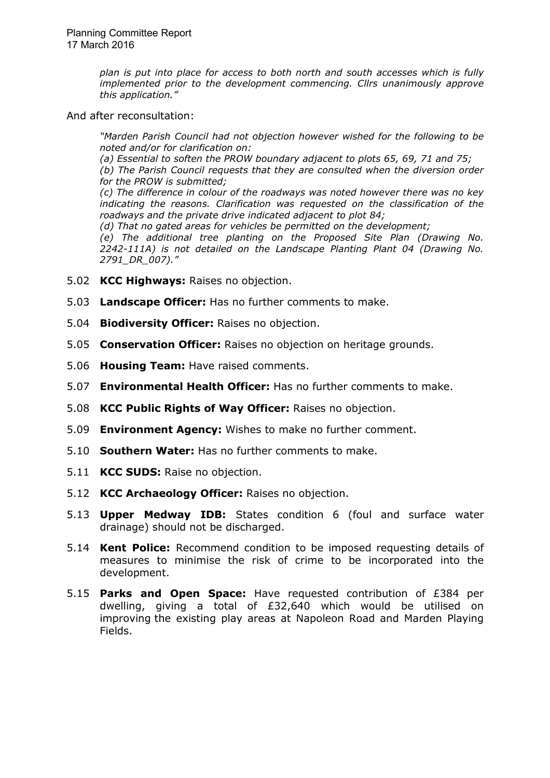*plan is put into place for access to both north and south accesses which is fully implemented prior to the development commencing. Cllrs unanimously approve this application."* 

And after reconsultation:

*"Marden Parish Council had not objection however wished for the following to be noted and/or for clarification on:* 

*(a) Essential to soften the PROW boundary adjacent to plots 65, 69, 71 and 75;* 

*(b) The Parish Council requests that they are consulted when the diversion order for the PROW is submitted;* 

*(c) The difference in colour of the roadways was noted however there was no key indicating the reasons. Clarification was requested on the classification of the roadways and the private drive indicated adjacent to plot 84;* 

*(d) That no gated areas for vehicles be permitted on the development;* 

*(e) The additional tree planting on the Proposed Site Plan (Drawing No. 2242-111A) is not detailed on the Landscape Planting Plant 04 (Drawing No. 2791\_DR\_007)."*

- 5.02 **KCC Highways:** Raises no objection.
- 5.03 **Landscape Officer:** Has no further comments to make.
- 5.04 **Biodiversity Officer:** Raises no objection.
- 5.05 **Conservation Officer:** Raises no objection on heritage grounds.
- 5.06 **Housing Team:** Have raised comments.
- 5.07 **Environmental Health Officer:** Has no further comments to make.
- 5.08 **KCC Public Rights of Way Officer:** Raises no objection.
- 5.09 **Environment Agency:** Wishes to make no further comment.
- 5.10 **Southern Water:** Has no further comments to make.
- 5.11 **KCC SUDS:** Raise no objection.
- 5.12 **KCC Archaeology Officer:** Raises no objection.
- 5.13 **Upper Medway IDB:** States condition 6 (foul and surface water drainage) should not be discharged.
- 5.14 **Kent Police:** Recommend condition to be imposed requesting details of measures to minimise the risk of crime to be incorporated into the development.
- 5.15 **Parks and Open Space:** Have requested contribution of £384 per dwelling, giving a total of £32,640 which would be utilised on improving the existing play areas at Napoleon Road and Marden Playing Fields.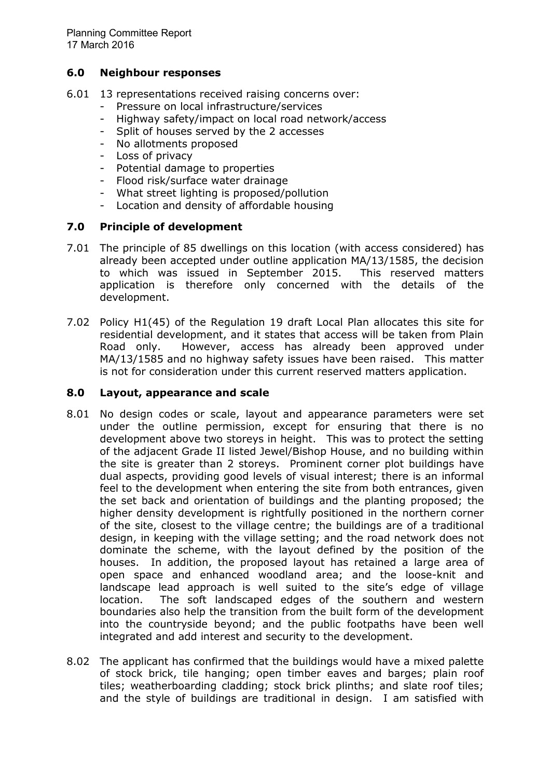## **6.0 Neighbour responses**

- 6.01 13 representations received raising concerns over:
	- Pressure on local infrastructure/services
	- Highway safety/impact on local road network/access
	- Split of houses served by the 2 accesses
	- No allotments proposed
	- Loss of privacy
	- Potential damage to properties
	- Flood risk/surface water drainage
	- What street lighting is proposed/pollution
	- Location and density of affordable housing

# **7.0 Principle of development**

- 7.01 The principle of 85 dwellings on this location (with access considered) has already been accepted under outline application MA/13/1585, the decision to which was issued in September 2015. This reserved matters application is therefore only concerned with the details of the development.
- 7.02 Policy H1(45) of the Regulation 19 draft Local Plan allocates this site for residential development, and it states that access will be taken from Plain Road only. However, access has already been approved under MA/13/1585 and no highway safety issues have been raised. This matter is not for consideration under this current reserved matters application.

#### **8.0 Layout, appearance and scale**

- 8.01 No design codes or scale, layout and appearance parameters were set under the outline permission, except for ensuring that there is no development above two storeys in height. This was to protect the setting of the adjacent Grade II listed Jewel/Bishop House, and no building within the site is greater than 2 storeys. Prominent corner plot buildings have dual aspects, providing good levels of visual interest; there is an informal feel to the development when entering the site from both entrances, given the set back and orientation of buildings and the planting proposed; the higher density development is rightfully positioned in the northern corner of the site, closest to the village centre; the buildings are of a traditional design, in keeping with the village setting; and the road network does not dominate the scheme, with the layout defined by the position of the houses. In addition, the proposed layout has retained a large area of open space and enhanced woodland area; and the loose-knit and landscape lead approach is well suited to the site's edge of village location. The soft landscaped edges of the southern and western boundaries also help the transition from the built form of the development into the countryside beyond; and the public footpaths have been well integrated and add interest and security to the development.
- 8.02 The applicant has confirmed that the buildings would have a mixed palette of stock brick, tile hanging; open timber eaves and barges; plain roof tiles; weatherboarding cladding; stock brick plinths; and slate roof tiles; and the style of buildings are traditional in design. I am satisfied with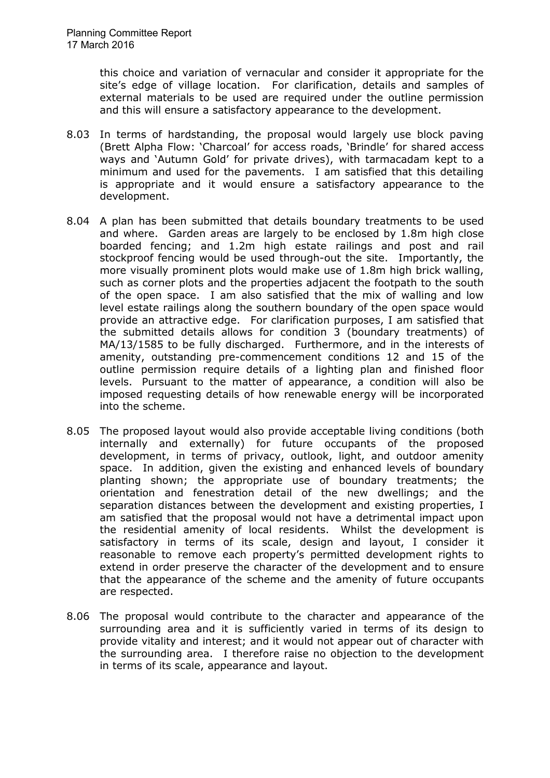this choice and variation of vernacular and consider it appropriate for the site's edge of village location. For clarification, details and samples of external materials to be used are required under the outline permission and this will ensure a satisfactory appearance to the development.

- 8.03 In terms of hardstanding, the proposal would largely use block paving (Brett Alpha Flow: 'Charcoal' for access roads, 'Brindle' for shared access ways and 'Autumn Gold' for private drives), with tarmacadam kept to a minimum and used for the pavements. I am satisfied that this detailing is appropriate and it would ensure a satisfactory appearance to the development.
- 8.04 A plan has been submitted that details boundary treatments to be used and where. Garden areas are largely to be enclosed by 1.8m high close boarded fencing; and 1.2m high estate railings and post and rail stockproof fencing would be used through-out the site. Importantly, the more visually prominent plots would make use of 1.8m high brick walling, such as corner plots and the properties adjacent the footpath to the south of the open space. I am also satisfied that the mix of walling and low level estate railings along the southern boundary of the open space would provide an attractive edge. For clarification purposes, I am satisfied that the submitted details allows for condition 3 (boundary treatments) of MA/13/1585 to be fully discharged. Furthermore, and in the interests of amenity, outstanding pre-commencement conditions 12 and 15 of the outline permission require details of a lighting plan and finished floor levels. Pursuant to the matter of appearance, a condition will also be imposed requesting details of how renewable energy will be incorporated into the scheme.
- 8.05 The proposed layout would also provide acceptable living conditions (both internally and externally) for future occupants of the proposed development, in terms of privacy, outlook, light, and outdoor amenity space. In addition, given the existing and enhanced levels of boundary planting shown; the appropriate use of boundary treatments; the orientation and fenestration detail of the new dwellings; and the separation distances between the development and existing properties, I am satisfied that the proposal would not have a detrimental impact upon the residential amenity of local residents.Whilst the development is satisfactory in terms of its scale, design and layout, I consider it reasonable to remove each property's permitted development rights to extend in order preserve the character of the development and to ensure that the appearance of the scheme and the amenity of future occupants are respected.
- 8.06 The proposal would contribute to the character and appearance of the surrounding area and it is sufficiently varied in terms of its design to provide vitality and interest; and it would not appear out of character with the surrounding area. I therefore raise no objection to the development in terms of its scale, appearance and layout.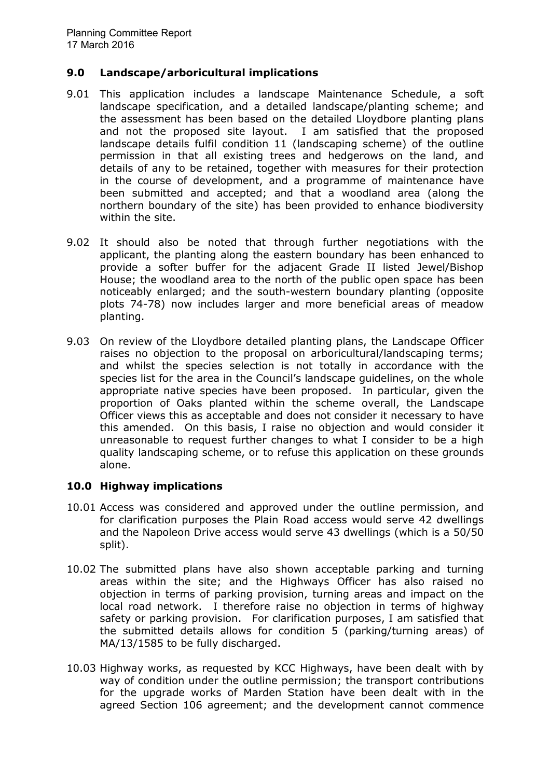## **9.0 Landscape/arboricultural implications**

- 9.01 This application includes a landscape Maintenance Schedule, a soft landscape specification, and a detailed landscape/planting scheme; and the assessment has been based on the detailed Lloydbore planting plans and not the proposed site layout. I am satisfied that the proposed landscape details fulfil condition 11 (landscaping scheme) of the outline permission in that all existing trees and hedgerows on the land, and details of any to be retained, together with measures for their protection in the course of development, and a programme of maintenance have been submitted and accepted; and that a woodland area (along the northern boundary of the site) has been provided to enhance biodiversity within the site.
- 9.02 It should also be noted that through further negotiations with the applicant, the planting along the eastern boundary has been enhanced to provide a softer buffer for the adjacent Grade II listed Jewel/Bishop House; the woodland area to the north of the public open space has been noticeably enlarged; and the south-western boundary planting (opposite plots 74-78) now includes larger and more beneficial areas of meadow planting.
- 9.03 On review of the Lloydbore detailed planting plans, the Landscape Officer raises no objection to the proposal on arboricultural/landscaping terms; and whilst the species selection is not totally in accordance with the species list for the area in the Council's landscape guidelines, on the whole appropriate native species have been proposed. In particular, given the proportion of Oaks planted within the scheme overall, the Landscape Officer views this as acceptable and does not consider it necessary to have this amended. On this basis, I raise no objection and would consider it unreasonable to request further changes to what I consider to be a high quality landscaping scheme, or to refuse this application on these grounds alone.

# **10.0 Highway implications**

- 10.01 Access was considered and approved under the outline permission, and for clarification purposes the Plain Road access would serve 42 dwellings and the Napoleon Drive access would serve 43 dwellings (which is a 50/50 split).
- 10.02 The submitted plans have also shown acceptable parking and turning areas within the site; and the Highways Officer has also raised no objection in terms of parking provision, turning areas and impact on the local road network. I therefore raise no objection in terms of highway safety or parking provision. For clarification purposes, I am satisfied that the submitted details allows for condition 5 (parking/turning areas) of MA/13/1585 to be fully discharged.
- 10.03 Highway works, as requested by KCC Highways, have been dealt with by way of condition under the outline permission; the transport contributions for the upgrade works of Marden Station have been dealt with in the agreed Section 106 agreement; and the development cannot commence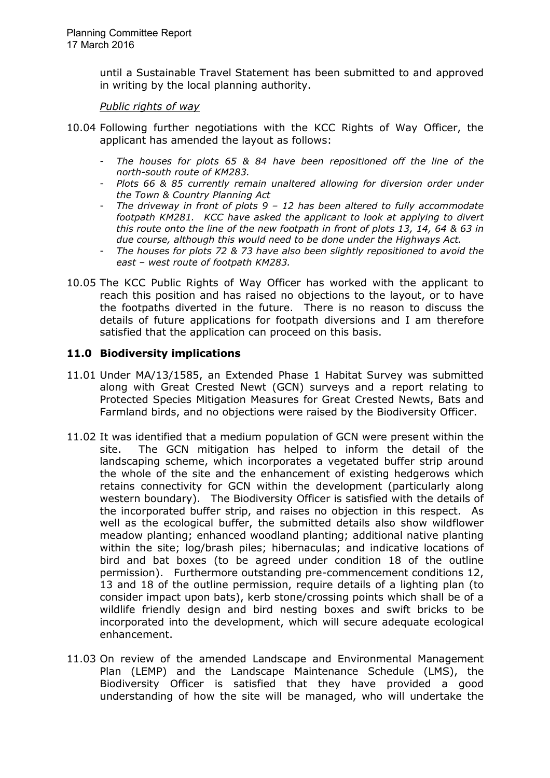until a Sustainable Travel Statement has been submitted to and approved in writing by the local planning authority.

*Public rights of way*

- 10.04 Following further negotiations with the KCC Rights of Way Officer, the applicant has amended the layout as follows:
	- *The houses for plots 65 & 84 have been repositioned off the line of the north-south route of KM283.*
	- *Plots 66 & 85 currently remain unaltered allowing for diversion order under the Town & Country Planning Act*
	- *The driveway in front of plots 9 12 has been altered to fully accommodate footpath KM281. KCC have asked the applicant to look at applying to divert this route onto the line of the new footpath in front of plots 13, 14, 64 & 63 in due course, although this would need to be done under the Highways Act.*
	- *The houses for plots 72 & 73 have also been slightly repositioned to avoid the east – west route of footpath KM283.*
- 10.05 The KCC Public Rights of Way Officer has worked with the applicant to reach this position and has raised no objections to the layout, or to have the footpaths diverted in the future. There is no reason to discuss the details of future applications for footpath diversions and I am therefore satisfied that the application can proceed on this basis.

# **11.0 Biodiversity implications**

- 11.01 Under MA/13/1585, an Extended Phase 1 Habitat Survey was submitted along with Great Crested Newt (GCN) surveys and a report relating to Protected Species Mitigation Measures for Great Crested Newts, Bats and Farmland birds, and no objections were raised by the Biodiversity Officer.
- 11.02 It was identified that a medium population of GCN were present within the site. The GCN mitigation has helped to inform the detail of the landscaping scheme, which incorporates a vegetated buffer strip around the whole of the site and the enhancement of existing hedgerows which retains connectivity for GCN within the development (particularly along western boundary). The Biodiversity Officer is satisfied with the details of the incorporated buffer strip, and raises no objection in this respect. As well as the ecological buffer, the submitted details also show wildflower meadow planting; enhanced woodland planting; additional native planting within the site; log/brash piles; hibernaculas; and indicative locations of bird and bat boxes (to be agreed under condition 18 of the outline permission). Furthermore outstanding pre-commencement conditions 12, 13 and 18 of the outline permission, require details of a lighting plan (to consider impact upon bats), kerb stone/crossing points which shall be of a wildlife friendly design and bird nesting boxes and swift bricks to be incorporated into the development, which will secure adequate ecological enhancement.
- 11.03 On review of the amended Landscape and Environmental Management Plan (LEMP) and the Landscape Maintenance Schedule (LMS), the Biodiversity Officer is satisfied that they have provided a good understanding of how the site will be managed, who will undertake the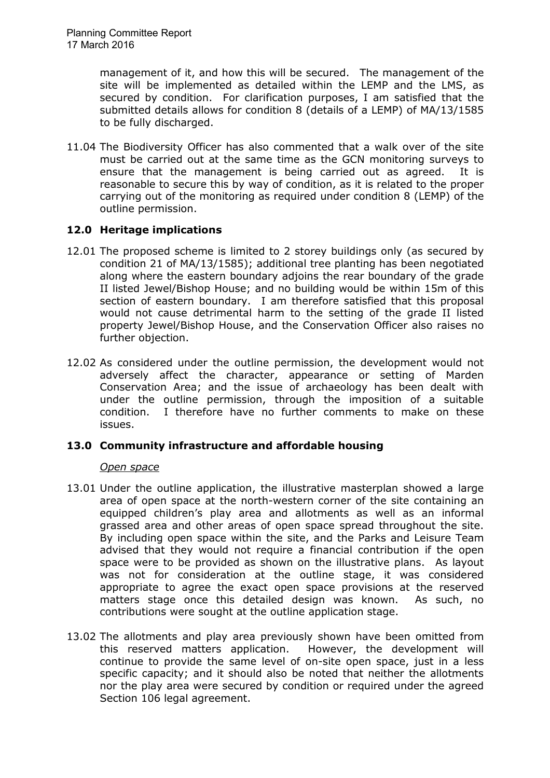management of it, and how this will be secured. The management of the site will be implemented as detailed within the LEMP and the LMS, as secured by condition. For clarification purposes, I am satisfied that the submitted details allows for condition 8 (details of a LEMP) of MA/13/1585 to be fully discharged.

11.04 The Biodiversity Officer has also commented that a walk over of the site must be carried out at the same time as the GCN monitoring surveys to ensure that the management is being carried out as agreed. It is reasonable to secure this by way of condition, as it is related to the proper carrying out of the monitoring as required under condition 8 (LEMP) of the outline permission.

# **12.0 Heritage implications**

- 12.01 The proposed scheme is limited to 2 storey buildings only (as secured by condition 21 of MA/13/1585); additional tree planting has been negotiated along where the eastern boundary adjoins the rear boundary of the grade II listed Jewel/Bishop House; and no building would be within 15m of this section of eastern boundary. I am therefore satisfied that this proposal would not cause detrimental harm to the setting of the grade II listed property Jewel/Bishop House, and the Conservation Officer also raises no further objection.
- 12.02 As considered under the outline permission, the development would not adversely affect the character, appearance or setting of Marden Conservation Area; and the issue of archaeology has been dealt with under the outline permission, through the imposition of a suitable condition. I therefore have no further comments to make on these issues.

# **13.0 Community infrastructure and affordable housing**

# *Open space*

- 13.01 Under the outline application, the illustrative masterplan showed a large area of open space at the north-western corner of the site containing an equipped children's play area and allotments as well as an informal grassed area and other areas of open space spread throughout the site. By including open space within the site, and the Parks and Leisure Team advised that they would not require a financial contribution if the open space were to be provided as shown on the illustrative plans. As layout was not for consideration at the outline stage, it was considered appropriate to agree the exact open space provisions at the reserved matters stage once this detailed design was known. As such, no contributions were sought at the outline application stage.
- 13.02 The allotments and play area previously shown have been omitted from this reserved matters application. However, the development will continue to provide the same level of on-site open space, just in a less specific capacity; and it should also be noted that neither the allotments nor the play area were secured by condition or required under the agreed Section 106 legal agreement.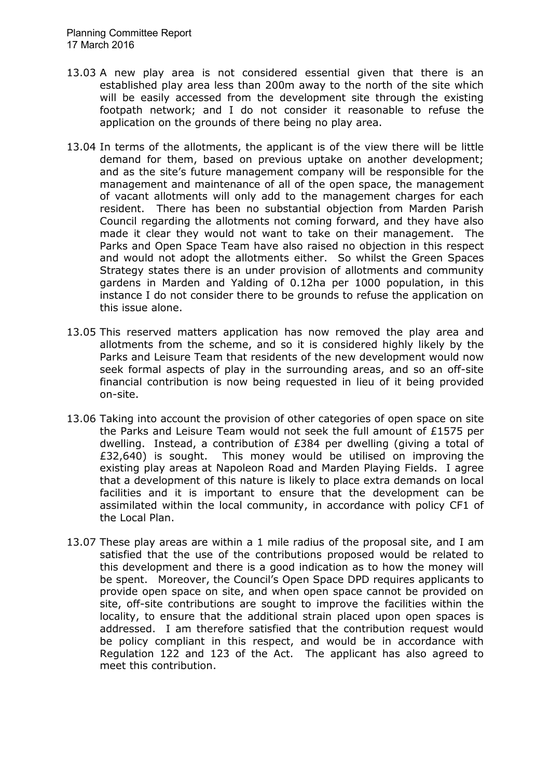- 13.03 A new play area is not considered essential given that there is an established play area less than 200m away to the north of the site which will be easily accessed from the development site through the existing footpath network; and I do not consider it reasonable to refuse the application on the grounds of there being no play area.
- 13.04 In terms of the allotments, the applicant is of the view there will be little demand for them, based on previous uptake on another development; and as the site's future management company will be responsible for the management and maintenance of all of the open space, the management of vacant allotments will only add to the management charges for each resident. There has been no substantial objection from Marden Parish Council regarding the allotments not coming forward, and they have also made it clear they would not want to take on their management. The Parks and Open Space Team have also raised no objection in this respect and would not adopt the allotments either. So whilst the Green Spaces Strategy states there is an under provision of allotments and community gardens in Marden and Yalding of 0.12ha per 1000 population, in this instance I do not consider there to be grounds to refuse the application on this issue alone.
- 13.05 This reserved matters application has now removed the play area and allotments from the scheme, and so it is considered highly likely by the Parks and Leisure Team that residents of the new development would now seek formal aspects of play in the surrounding areas, and so an off-site financial contribution is now being requested in lieu of it being provided on-site.
- 13.06 Taking into account the provision of other categories of open space on site the Parks and Leisure Team would not seek the full amount of £1575 per dwelling. Instead, a contribution of £384 per dwelling (giving a total of £32,640) is sought. This money would be utilised on improving the existing play areas at Napoleon Road and Marden Playing Fields. I agree that a development of this nature is likely to place extra demands on local facilities and it is important to ensure that the development can be assimilated within the local community, in accordance with policy CF1 of the Local Plan.
- 13.07 These play areas are within a 1 mile radius of the proposal site, and I am satisfied that the use of the contributions proposed would be related to this development and there is a good indication as to how the money will be spent. Moreover, the Council's Open Space DPD requires applicants to provide open space on site, and when open space cannot be provided on site, off-site contributions are sought to improve the facilities within the locality, to ensure that the additional strain placed upon open spaces is addressed. I am therefore satisfied that the contribution request would be policy compliant in this respect, and would be in accordance with Regulation 122 and 123 of the Act. The applicant has also agreed to meet this contribution.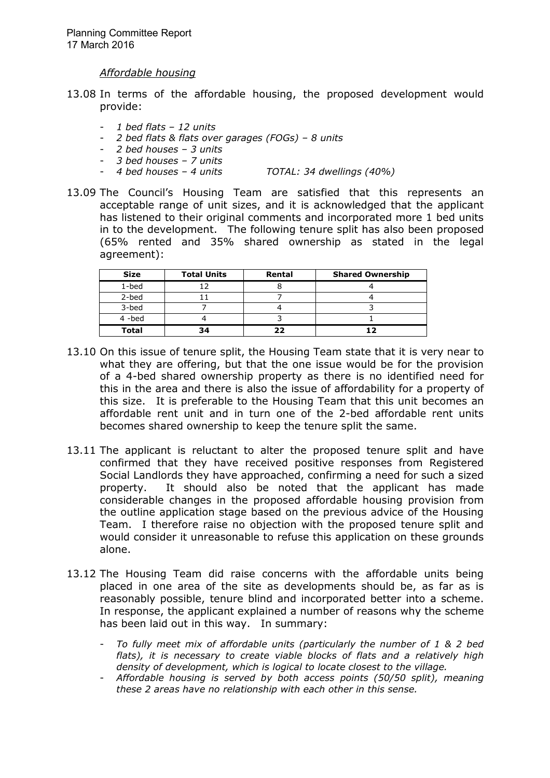*Affordable housing*

- 13.08 In terms of the affordable housing, the proposed development would provide:
	- *1 bed flats 12 units*
	- *2 bed flats & flats over garages (FOGs) 8 units*
	- *2 bed houses 3 units*
	- *3 bed houses 7 units*
	- *4 bed houses 4 units TOTAL: 34 dwellings (40%)*
- 13.09 The Council's Housing Team are satisfied that this represents an acceptable range of unit sizes, and it is acknowledged that the applicant has listened to their original comments and incorporated more 1 bed units in to the development. The following tenure split has also been proposed (65% rented and 35% shared ownership as stated in the legal agreement):

| <b>Size</b>  | <b>Total Units</b> | Rental | <b>Shared Ownership</b> |
|--------------|--------------------|--------|-------------------------|
| $1$ -bed     |                    |        |                         |
| 2-bed        |                    |        |                         |
| 3-bed        |                    |        |                         |
| 4-bed        |                    |        |                         |
| <b>Total</b> | 34                 |        |                         |

- 13.10 On this issue of tenure split, the Housing Team state that it is very near to what they are offering, but that the one issue would be for the provision of a 4-bed shared ownership property as there is no identified need for this in the area and there is also the issue of affordability for a property of this size. It is preferable to the Housing Team that this unit becomes an affordable rent unit and in turn one of the 2-bed affordable rent units becomes shared ownership to keep the tenure split the same.
- 13.11 The applicant is reluctant to alter the proposed tenure split and have confirmed that they have received positive responses from Registered Social Landlords they have approached, confirming a need for such a sized property. It should also be noted that the applicant has made considerable changes in the proposed affordable housing provision from the outline application stage based on the previous advice of the Housing Team. I therefore raise no objection with the proposed tenure split and would consider it unreasonable to refuse this application on these grounds alone.
- 13.12 The Housing Team did raise concerns with the affordable units being placed in one area of the site as developments should be, as far as is reasonably possible, tenure blind and incorporated better into a scheme. In response, the applicant explained a number of reasons why the scheme has been laid out in this way. In summary:
	- *To fully meet mix of affordable units (particularly the number of 1 & 2 bed flats), it is necessary to create viable blocks of flats and a relatively high density of development, which is logical to locate closest to the village.*
	- *Affordable housing is served by both access points (50/50 split), meaning these 2 areas have no relationship with each other in this sense.*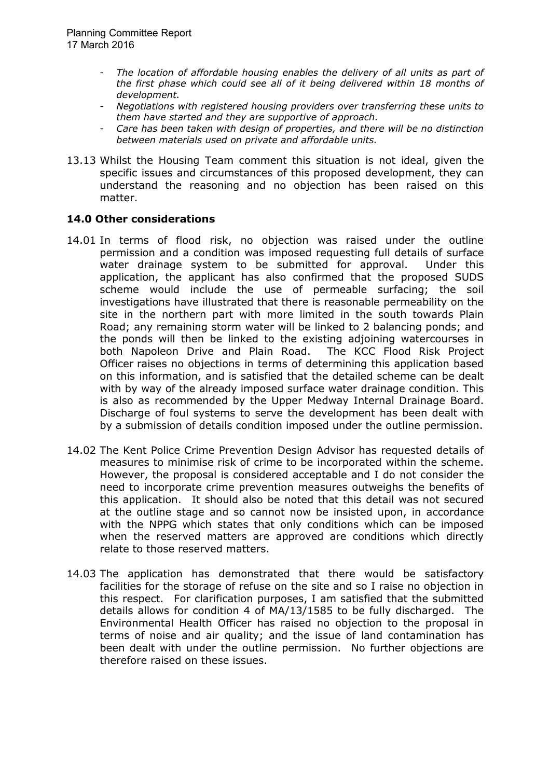- The location of affordable housing enables the delivery of all units as part of *the first phase which could see all of it being delivered within 18 months of development.*
- *Negotiations with registered housing providers over transferring these units to them have started and they are supportive of approach.*
- *Care has been taken with design of properties, and there will be no distinction between materials used on private and affordable units.*
- 13.13 Whilst the Housing Team comment this situation is not ideal, given the specific issues and circumstances of this proposed development, they can understand the reasoning and no objection has been raised on this matter.

# **14.0 Other considerations**

- 14.01 In terms of flood risk, no objection was raised under the outline permission and a condition was imposed requesting full details of surface water drainage system to be submitted for approval. Under this application, the applicant has also confirmed that the proposed SUDS scheme would include the use of permeable surfacing; the soil investigations have illustrated that there is reasonable permeability on the site in the northern part with more limited in the south towards Plain Road; any remaining storm water will be linked to 2 balancing ponds; and the ponds will then be linked to the existing adjoining watercourses in both Napoleon Drive and Plain Road. The KCC Flood Risk Project Officer raises no objections in terms of determining this application based on this information, and is satisfied that the detailed scheme can be dealt with by way of the already imposed surface water drainage condition. This is also as recommended by the Upper Medway Internal Drainage Board. Discharge of foul systems to serve the development has been dealt with by a submission of details condition imposed under the outline permission.
- 14.02 The Kent Police Crime Prevention Design Advisor has requested details of measures to minimise risk of crime to be incorporated within the scheme. However, the proposal is considered acceptable and I do not consider the need to incorporate crime prevention measures outweighs the benefits of this application. It should also be noted that this detail was not secured at the outline stage and so cannot now be insisted upon, in accordance with the NPPG which states that only conditions which can be imposed when the reserved matters are approved are conditions which directly relate to those reserved matters.
- 14.03 The application has demonstrated that there would be satisfactory facilities for the storage of refuse on the site and so I raise no objection in this respect. For clarification purposes, I am satisfied that the submitted details allows for condition 4 of MA/13/1585 to be fully discharged. The Environmental Health Officer has raised no objection to the proposal in terms of noise and air quality; and the issue of land contamination has been dealt with under the outline permission. No further objections are therefore raised on these issues.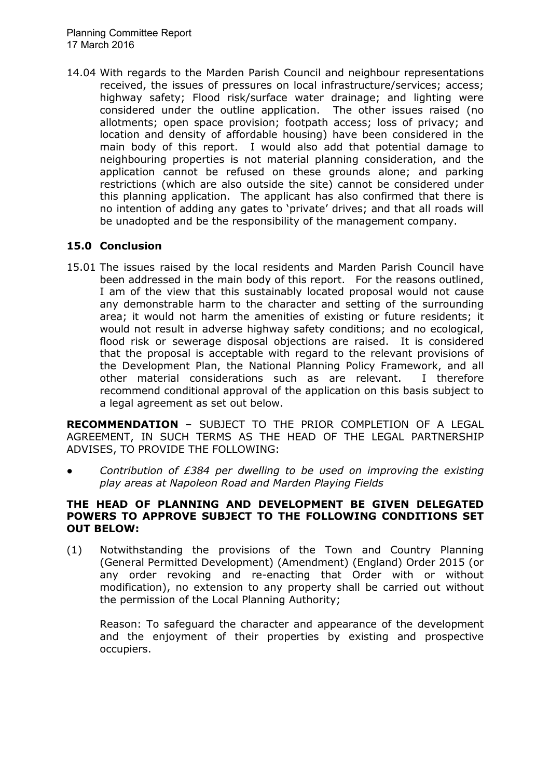14.04 With regards to the Marden Parish Council and neighbour representations received, the issues of pressures on local infrastructure/services; access; highway safety; Flood risk/surface water drainage; and lighting were considered under the outline application. The other issues raised (no allotments; open space provision; footpath access; loss of privacy; and location and density of affordable housing) have been considered in the main body of this report. I would also add that potential damage to neighbouring properties is not material planning consideration, and the application cannot be refused on these grounds alone; and parking restrictions (which are also outside the site) cannot be considered under this planning application. The applicant has also confirmed that there is no intention of adding any gates to 'private' drives; and that all roads will be unadopted and be the responsibility of the management company.

# **15.0 Conclusion**

15.01 The issues raised by the local residents and Marden Parish Council have been addressed in the main body of this report. For the reasons outlined, I am of the view that this sustainably located proposal would not cause any demonstrable harm to the character and setting of the surrounding area; it would not harm the amenities of existing or future residents; it would not result in adverse highway safety conditions; and no ecological, flood risk or sewerage disposal objections are raised. It is considered that the proposal is acceptable with regard to the relevant provisions of the Development Plan, the National Planning Policy Framework, and all other material considerations such as are relevant. I therefore recommend conditional approval of the application on this basis subject to a legal agreement as set out below.

**RECOMMENDATION** – SUBJECT TO THE PRIOR COMPLETION OF A LEGAL AGREEMENT, IN SUCH TERMS AS THE HEAD OF THE LEGAL PARTNERSHIP ADVISES, TO PROVIDE THE FOLLOWING:

*● Contribution of £384 per dwelling to be used on improving the existing play areas at Napoleon Road and Marden Playing Fields* 

### **THE HEAD OF PLANNING AND DEVELOPMENT BE GIVEN DELEGATED POWERS TO APPROVE SUBJECT TO THE FOLLOWING CONDITIONS SET OUT BELOW:**

(1) Notwithstanding the provisions of the Town and Country Planning (General Permitted Development) (Amendment) (England) Order 2015 (or any order revoking and re-enacting that Order with or without modification), no extension to any property shall be carried out without the permission of the Local Planning Authority;

Reason: To safeguard the character and appearance of the development and the enjoyment of their properties by existing and prospective occupiers.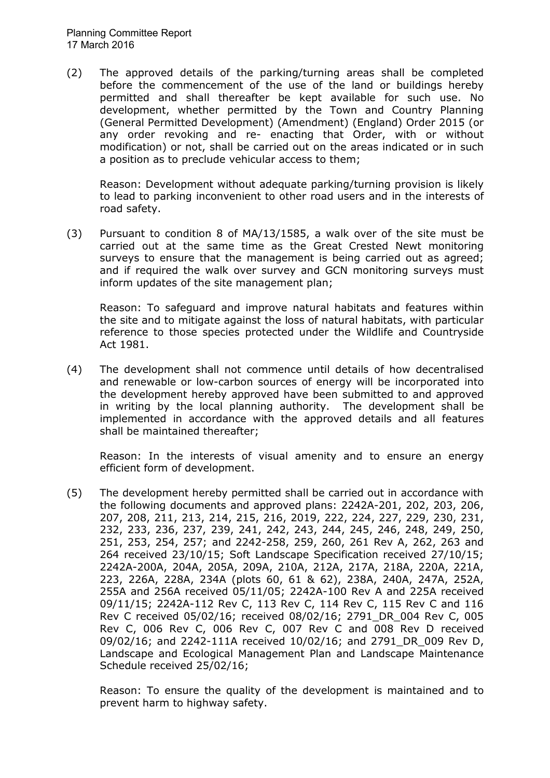(2) The approved details of the parking/turning areas shall be completed before the commencement of the use of the land or buildings hereby permitted and shall thereafter be kept available for such use. No development, whether permitted by the Town and Country Planning (General Permitted Development) (Amendment) (England) Order 2015 (or any order revoking and re- enacting that Order, with or without modification) or not, shall be carried out on the areas indicated or in such a position as to preclude vehicular access to them;

Reason: Development without adequate parking/turning provision is likely to lead to parking inconvenient to other road users and in the interests of road safety.

(3) Pursuant to condition 8 of MA/13/1585, a walk over of the site must be carried out at the same time as the Great Crested Newt monitoring surveys to ensure that the management is being carried out as agreed; and if required the walk over survey and GCN monitoring surveys must inform updates of the site management plan;

Reason: To safeguard and improve natural habitats and features within the site and to mitigate against the loss of natural habitats, with particular reference to those species protected under the Wildlife and Countryside Act 1981.

(4) The development shall not commence until details of how decentralised and renewable or low-carbon sources of energy will be incorporated into the development hereby approved have been submitted to and approved in writing by the local planning authority. The development shall be implemented in accordance with the approved details and all features shall be maintained thereafter;

Reason: In the interests of visual amenity and to ensure an energy efficient form of development.

(5) The development hereby permitted shall be carried out in accordance with the following documents and approved plans: 2242A-201, 202, 203, 206, 207, 208, 211, 213, 214, 215, 216, 2019, 222, 224, 227, 229, 230, 231, 232, 233, 236, 237, 239, 241, 242, 243, 244, 245, 246, 248, 249, 250, 251, 253, 254, 257; and 2242-258, 259, 260, 261 Rev A, 262, 263 and 264 received 23/10/15; Soft Landscape Specification received 27/10/15; 2242A-200A, 204A, 205A, 209A, 210A, 212A, 217A, 218A, 220A, 221A, 223, 226A, 228A, 234A (plots 60, 61 & 62), 238A, 240A, 247A, 252A, 255A and 256A received 05/11/05; 2242A-100 Rev A and 225A received 09/11/15; 2242A-112 Rev C, 113 Rev C, 114 Rev C, 115 Rev C and 116 Rev C received 05/02/16; received 08/02/16; 2791\_DR\_004 Rev C, 005 Rev C, 006 Rev C, 006 Rev C, 007 Rev C and 008 Rev D received 09/02/16; and 2242-111A received 10/02/16; and 2791\_DR\_009 Rev D, Landscape and Ecological Management Plan and Landscape Maintenance Schedule received 25/02/16;

Reason: To ensure the quality of the development is maintained and to prevent harm to highway safety.